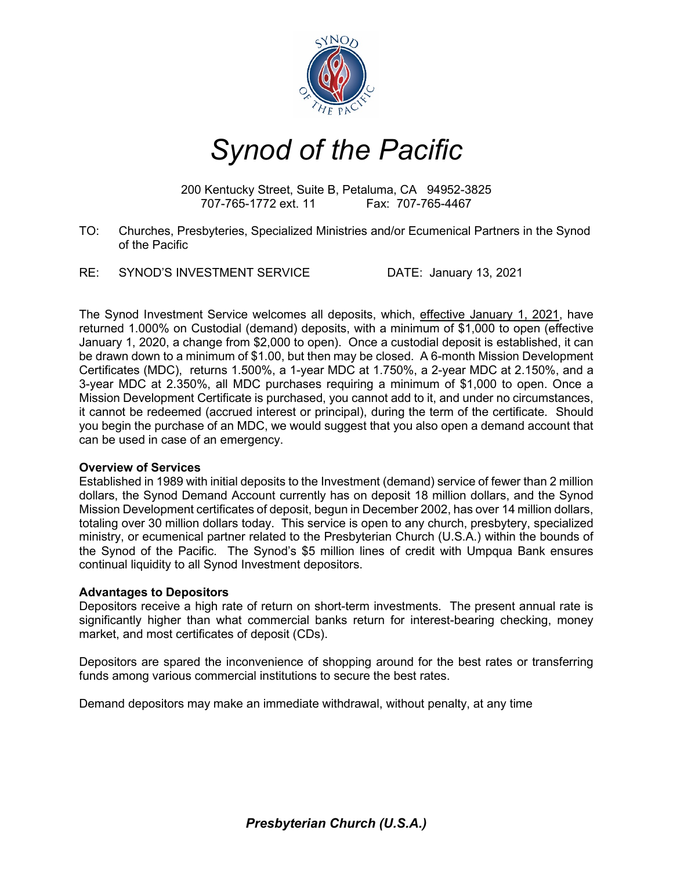

# *Synod of the Pacific*

200 Kentucky Street, Suite B, Petaluma, CA 94952-3825 707-765-1772 ext. 11 Fax: 707-765-4467

- TO: Churches, Presbyteries, Specialized Ministries and/or Ecumenical Partners in the Synod of the Pacific
- RE: SYNOD'S INVESTMENT SERVICE DATE: January 13, 2021

The Synod Investment Service welcomes all deposits, which, effective January 1, 2021, have returned 1.000% on Custodial (demand) deposits, with a minimum of \$1,000 to open (effective January 1, 2020, a change from \$2,000 to open). Once a custodial deposit is established, it can be drawn down to a minimum of \$1.00, but then may be closed. A 6-month Mission Development Certificates (MDC), returns 1.500%, a 1-year MDC at 1.750%, a 2-year MDC at 2.150%, and a 3-year MDC at 2.350%, all MDC purchases requiring a minimum of \$1,000 to open. Once a Mission Development Certificate is purchased, you cannot add to it, and under no circumstances, it cannot be redeemed (accrued interest or principal), during the term of the certificate. Should you begin the purchase of an MDC, we would suggest that you also open a demand account that can be used in case of an emergency.

#### **Overview of Services**

Established in 1989 with initial deposits to the Investment (demand) service of fewer than 2 million dollars, the Synod Demand Account currently has on deposit 18 million dollars, and the Synod Mission Development certificates of deposit, begun in December 2002, has over 14 million dollars, totaling over 30 million dollars today. This service is open to any church, presbytery, specialized ministry, or ecumenical partner related to the Presbyterian Church (U.S.A.) within the bounds of the Synod of the Pacific. The Synod's \$5 million lines of credit with Umpqua Bank ensures continual liquidity to all Synod Investment depositors.

# **Advantages to Depositors**

Depositors receive a high rate of return on short-term investments. The present annual rate is significantly higher than what commercial banks return for interest-bearing checking, money market, and most certificates of deposit (CDs).

Depositors are spared the inconvenience of shopping around for the best rates or transferring funds among various commercial institutions to secure the best rates.

Demand depositors may make an immediate withdrawal, without penalty, at any time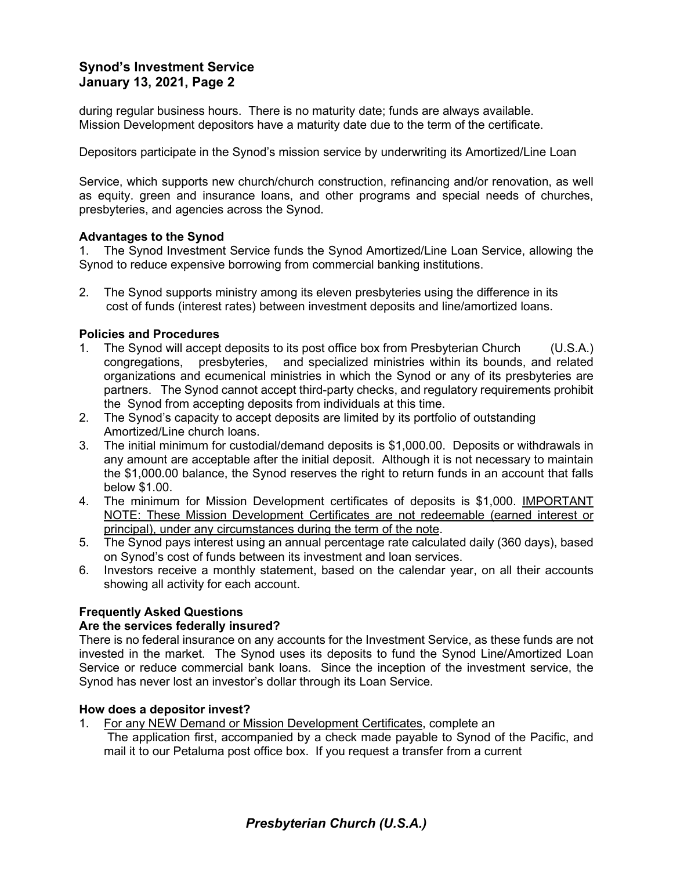# **Synod's Investment Service January 13, 2021, Page 2**

during regular business hours. There is no maturity date; funds are always available. Mission Development depositors have a maturity date due to the term of the certificate.

Depositors participate in the Synod's mission service by underwriting its Amortized/Line Loan

Service, which supports new church/church construction, refinancing and/or renovation, as well as equity. green and insurance loans, and other programs and special needs of churches, presbyteries, and agencies across the Synod.

## **Advantages to the Synod**

1. The Synod Investment Service funds the Synod Amortized/Line Loan Service, allowing the Synod to reduce expensive borrowing from commercial banking institutions.

2. The Synod supports ministry among its eleven presbyteries using the difference in its cost of funds (interest rates) between investment deposits and line/amortized loans.

## **Policies and Procedures**

- 1. The Synod will accept deposits to its post office box from Presbyterian Church (U.S.A.) congregations, presbyteries, and specialized ministries within its bounds, and related organizations and ecumenical ministries in which the Synod or any of its presbyteries are partners. The Synod cannot accept third-party checks, and regulatory requirements prohibit the Synod from accepting deposits from individuals at this time.
- 2. The Synod's capacity to accept deposits are limited by its portfolio of outstanding Amortized/Line church loans.
- 3. The initial minimum for custodial/demand deposits is \$1,000.00. Deposits or withdrawals in any amount are acceptable after the initial deposit. Although it is not necessary to maintain the \$1,000.00 balance, the Synod reserves the right to return funds in an account that falls below \$1.00.
- 4. The minimum for Mission Development certificates of deposits is \$1,000. IMPORTANT NOTE: These Mission Development Certificates are not redeemable (earned interest or principal), under any circumstances during the term of the note.
- 5. The Synod pays interest using an annual percentage rate calculated daily (360 days), based on Synod's cost of funds between its investment and loan services.
- 6. Investors receive a monthly statement, based on the calendar year, on all their accounts showing all activity for each account.

# **Frequently Asked Questions**

#### **Are the services federally insured?**

There is no federal insurance on any accounts for the Investment Service, as these funds are not invested in the market. The Synod uses its deposits to fund the Synod Line/Amortized Loan Service or reduce commercial bank loans. Since the inception of the investment service, the Synod has never lost an investor's dollar through its Loan Service.

## **How does a depositor invest?**

1. For any NEW Demand or Mission Development Certificates, complete an

The application first, accompanied by a check made payable to Synod of the Pacific, and mail it to our Petaluma post office box. If you request a transfer from a current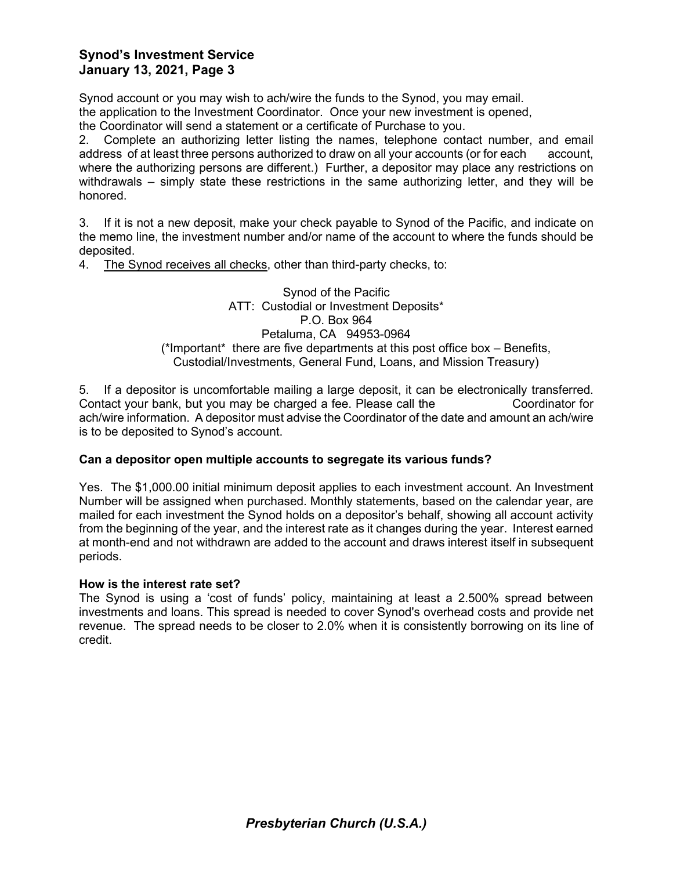# **Synod's Investment Service January 13, 2021, Page 3**

Synod account or you may wish to ach/wire the funds to the Synod, you may email. the application to the Investment Coordinator. Once your new investment is opened,

the Coordinator will send a statement or a certificate of Purchase to you.

2. Complete an authorizing letter listing the names, telephone contact number, and email address of at least three persons authorized to draw on all your accounts (or for each account, where the authorizing persons are different.) Further, a depositor may place any restrictions on withdrawals – simply state these restrictions in the same authorizing letter, and they will be honored.

3. If it is not a new deposit, make your check payable to Synod of the Pacific, and indicate on the memo line, the investment number and/or name of the account to where the funds should be deposited.

4. The Synod receives all checks, other than third-party checks, to:

## Synod of the Pacific ATT: Custodial or Investment Deposits\* P.O. Box 964 Petaluma, CA 94953-0964 (\*Important\* there are five departments at this post office box – Benefits, Custodial/Investments, General Fund, Loans, and Mission Treasury)

5. If a depositor is uncomfortable mailing a large deposit, it can be electronically transferred. Contact your bank, but you may be charged a fee. Please call the Coordinator for ach/wire information. A depositor must advise the Coordinator of the date and amount an ach/wire is to be deposited to Synod's account.

# **Can a depositor open multiple accounts to segregate its various funds?**

Yes. The \$1,000.00 initial minimum deposit applies to each investment account. An Investment Number will be assigned when purchased. Monthly statements, based on the calendar year, are mailed for each investment the Synod holds on a depositor's behalf, showing all account activity from the beginning of the year, and the interest rate as it changes during the year. Interest earned at month-end and not withdrawn are added to the account and draws interest itself in subsequent periods.

# **How is the interest rate set?**

The Synod is using a 'cost of funds' policy, maintaining at least a 2.500% spread between investments and loans. This spread is needed to cover Synod's overhead costs and provide net revenue. The spread needs to be closer to 2.0% when it is consistently borrowing on its line of credit.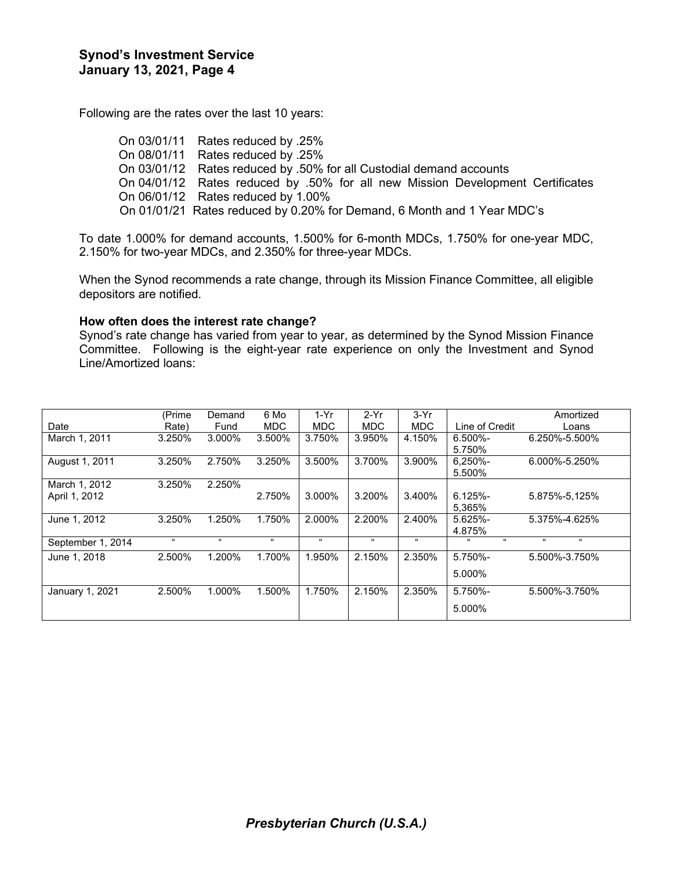Following are the rates over the last 10 years:

On 03/01/11 Rates reduced by .25% On 08/01/11 Rates reduced by .25% On 03/01/12 Rates reduced by .50% for all Custodial demand accounts On 04/01/12 Rates reduced by .50% for all new Mission Development Certificates On 06/01/12 Rates reduced by 1.00% On 01/01/21 Rates reduced by 0.20% for Demand, 6 Month and 1 Year MDC's

To date 1.000% for demand accounts, 1.500% for 6-month MDCs, 1.750% for one-year MDC, 2.150% for two-year MDCs, and 2.350% for three-year MDCs.

When the Synod recommends a rate change, through its Mission Finance Committee, all eligible depositors are notified.

#### **How often does the interest rate change?**

Synod's rate change has varied from year to year, as determined by the Synod Mission Finance Committee. Following is the eight-year rate experience on only the Investment and Synod Line/Amortized loans:

|                   | (Prime     | Demand | 6 Mo       | $1-Yr$     | $2-Yr$     | $3-Yr$             |                               | Amortized        |
|-------------------|------------|--------|------------|------------|------------|--------------------|-------------------------------|------------------|
| Date              | Rate)      | Fund   | <b>MDC</b> | MDC.       | <b>MDC</b> | <b>MDC</b>         | Line of Credit                | Loans            |
| March 1, 2011     | 3.250%     | 3.000% | 3.500%     | 3.750%     | 3.950%     | 4.150%             | $6.500\%$ -                   | 6.250%-5.500%    |
|                   |            |        |            |            |            |                    | 5.750%                        |                  |
| August 1, 2011    | 3.250%     | 2.750% | 3.250%     | 3.500%     | 3.700%     | 3.900%             | $6.250% -$                    | 6.000%-5.250%    |
|                   |            |        |            |            |            |                    | 5.500%                        |                  |
| March 1, 2012     | 3.250%     | 2.250% |            |            |            |                    |                               |                  |
| April 1, 2012     |            |        | 2.750%     | 3.000%     | 3.200%     | 3.400%             | $6.125% -$                    | 5.875%-5,125%    |
|                   |            |        |            |            |            |                    | 5.365%                        |                  |
| June 1, 2012      | 3.250%     | 1.250% | 1.750%     | 2.000%     | 2.200%     | 2.400%             | 5.625%-                       | 5.375%-4.625%    |
|                   |            |        |            |            |            |                    | 4.875%                        |                  |
| September 1, 2014 | $\epsilon$ | 66     | $\epsilon$ | $\epsilon$ | $\epsilon$ | $\epsilon\epsilon$ | $\epsilon\epsilon$<br>$^{16}$ | $\epsilon$<br>66 |
| June 1, 2018      | 2.500%     | 1.200% | 1.700%     | 1.950%     | 2.150%     | 2.350%             | 5.750%-                       | 5.500%-3.750%    |
|                   |            |        |            |            |            |                    | 5.000%                        |                  |
|                   |            |        |            |            |            |                    |                               |                  |
| January 1, 2021   | 2.500%     | 1.000% | 1.500%     | 1.750%     | 2.150%     | 2.350%             | 5.750%-                       | 5.500%-3.750%    |
|                   |            |        |            |            |            |                    | 5.000%                        |                  |
|                   |            |        |            |            |            |                    |                               |                  |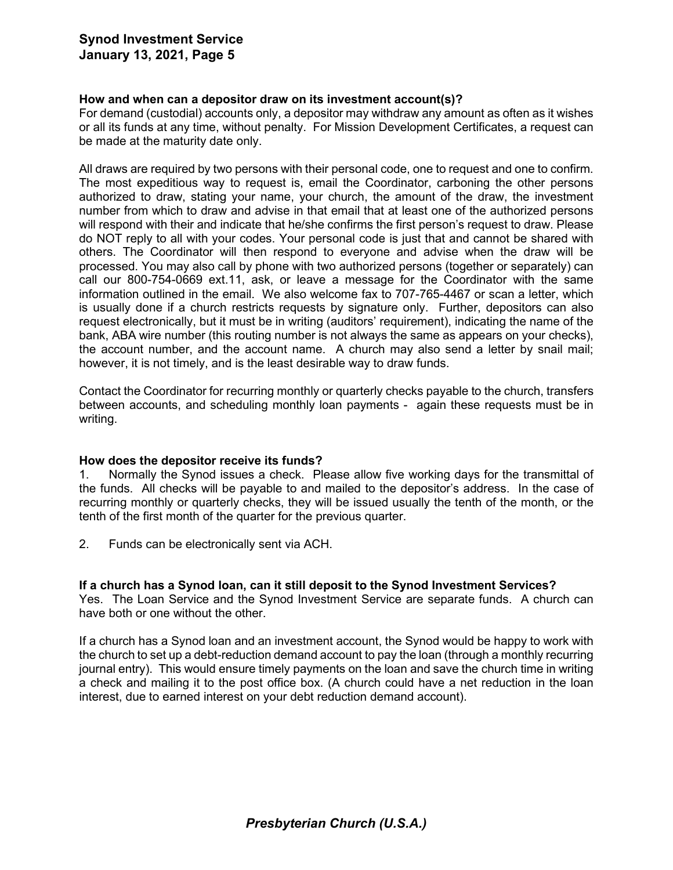# **Synod Investment Service January 13, 2021, Page 5**

## **How and when can a depositor draw on its investment account(s)?**

For demand (custodial) accounts only, a depositor may withdraw any amount as often as it wishes or all its funds at any time, without penalty. For Mission Development Certificates, a request can be made at the maturity date only.

All draws are required by two persons with their personal code, one to request and one to confirm. The most expeditious way to request is, email the Coordinator, carboning the other persons authorized to draw, stating your name, your church, the amount of the draw, the investment number from which to draw and advise in that email that at least one of the authorized persons will respond with their and indicate that he/she confirms the first person's request to draw. Please do NOT reply to all with your codes. Your personal code is just that and cannot be shared with others. The Coordinator will then respond to everyone and advise when the draw will be processed. You may also call by phone with two authorized persons (together or separately) can call our 800-754-0669 ext.11, ask, or leave a message for the Coordinator with the same information outlined in the email. We also welcome fax to 707-765-4467 or scan a letter, which is usually done if a church restricts requests by signature only. Further, depositors can also request electronically, but it must be in writing (auditors' requirement), indicating the name of the bank, ABA wire number (this routing number is not always the same as appears on your checks), the account number, and the account name. A church may also send a letter by snail mail; however, it is not timely, and is the least desirable way to draw funds.

Contact the Coordinator for recurring monthly or quarterly checks payable to the church, transfers between accounts, and scheduling monthly loan payments - again these requests must be in writing.

#### **How does the depositor receive its funds?**

1. Normally the Synod issues a check. Please allow five working days for the transmittal of the funds. All checks will be payable to and mailed to the depositor's address. In the case of recurring monthly or quarterly checks, they will be issued usually the tenth of the month, or the tenth of the first month of the quarter for the previous quarter.

2. Funds can be electronically sent via ACH.

#### **If a church has a Synod loan, can it still deposit to the Synod Investment Services?**

Yes. The Loan Service and the Synod Investment Service are separate funds. A church can have both or one without the other.

If a church has a Synod loan and an investment account, the Synod would be happy to work with the church to set up a debt-reduction demand account to pay the loan (through a monthly recurring journal entry). This would ensure timely payments on the loan and save the church time in writing a check and mailing it to the post office box. (A church could have a net reduction in the loan interest, due to earned interest on your debt reduction demand account).